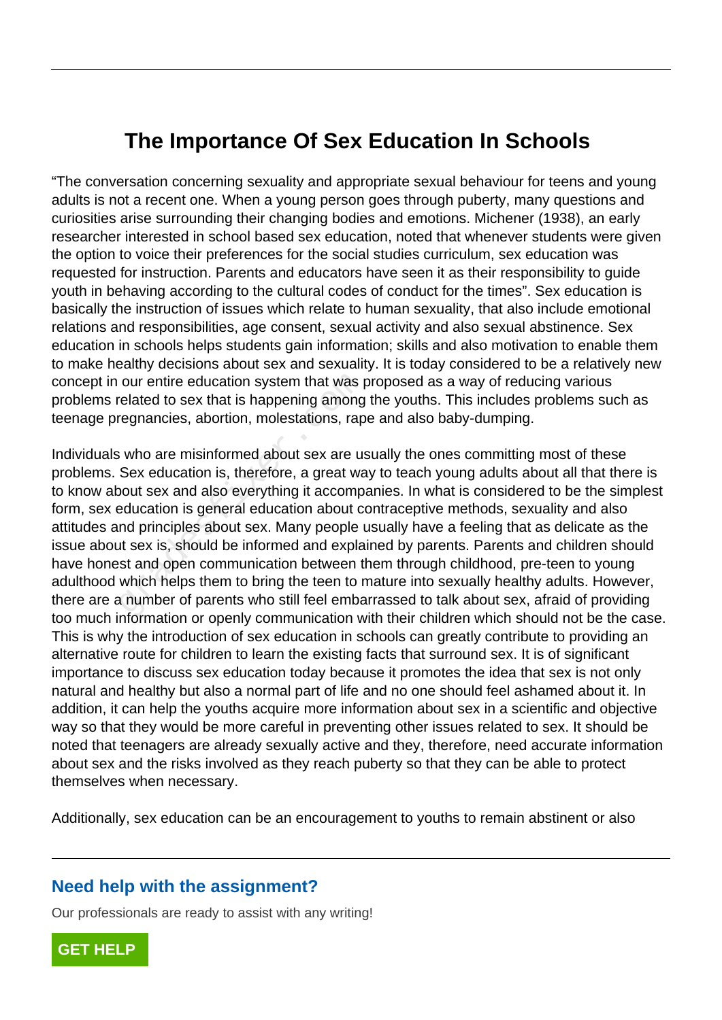## **The Importance Of Sex Education In Schools**

"The conversation concerning sexuality and appropriate sexual behaviour for teens and young adults is not a recent one. When a young person goes through puberty, many questions and curiosities arise surrounding their changing bodies and emotions. Michener (1938), an early researcher interested in school based sex education, noted that whenever students were given the option to voice their preferences for the social studies curriculum, sex education was requested for instruction. Parents and educators have seen it as their responsibility to guide youth in behaving according to the cultural codes of conduct for the times". Sex education is basically the instruction of issues which relate to human sexuality, that also include emotional relations and responsibilities, age consent, sexual activity and also sexual abstinence. Sex education in schools helps students gain information; skills and also motivation to enable them to make healthy decisions about sex and sexuality. It is today considered to be a relatively new concept in our entire education system that was proposed as a way of reducing various problems related to sex that is happening among the youths. This includes problems such as teenage pregnancies, abortion, molestations, rape and also baby-dumping.

Individuals who are misinformed about sex are usually the ones committing most of these problems. Sex education is, therefore, a great way to teach young adults about all that there is to know about sex and also everything it accompanies. In what is considered to be the simplest form, sex education is general education about contraceptive methods, sexuality and also attitudes and principles about sex. Many people usually have a feeling that as delicate as the issue about sex is, should be informed and explained by parents. Parents and children should have honest and open communication between them through childhood, pre-teen to young adulthood which helps them to bring the teen to mature into sexually healthy adults. However, there are a number of parents who still feel embarrassed to talk about sex, afraid of providing too much information or openly communication with their children which should not be the case. This is why the introduction of sex education in schools can greatly contribute to providing an alternative route for children to learn the existing facts that surround sex. It is of significant importance to discuss sex education today because it promotes the idea that sex is not only natural and healthy but also a normal part of life and no one should feel ashamed about it. In addition, it can help the youths acquire more information about sex in a scientific and objective way so that they would be more careful in preventing other issues related to sex. It should be noted that teenagers are already sexually active and they, therefore, need accurate information about sex and the risks involved as they reach puberty so that they can be able to protect themselves when necessary. our entire education system that was prelated to sex that is happening among<br>regnancies, abortion, molestations, rap<br>is who are misinformed about sex are us<br>Sex education is, therefore, a great wa<br>bout sex and also everyth

Additionally, sex education can be an encouragement to youths to remain abstinent or also

## **Need help with the assignment?**

Our professionals are ready to assist with any writing!

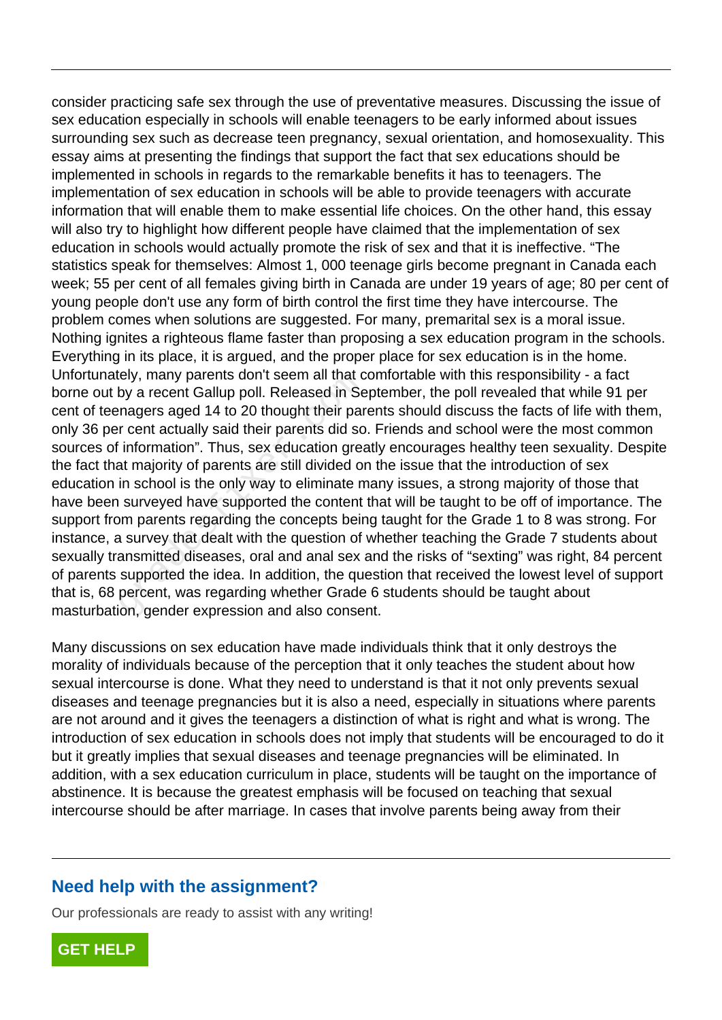consider practicing safe sex through the use of preventative measures. Discussing the issue of sex education especially in schools will enable teenagers to be early informed about issues surrounding sex such as decrease teen pregnancy, sexual orientation, and homosexuality. This essay aims at presenting the findings that support the fact that sex educations should be implemented in schools in regards to the remarkable benefits it has to teenagers. The implementation of sex education in schools will be able to provide teenagers with accurate information that will enable them to make essential life choices. On the other hand, this essay will also try to highlight how different people have claimed that the implementation of sex education in schools would actually promote the risk of sex and that it is ineffective. "The statistics speak for themselves: Almost 1, 000 teenage girls become pregnant in Canada each week; 55 per cent of all females giving birth in Canada are under 19 years of age; 80 per cent of young people don't use any form of birth control the first time they have intercourse. The problem comes when solutions are suggested. For many, premarital sex is a moral issue. Nothing ignites a righteous flame faster than proposing a sex education program in the schools. Everything in its place, it is argued, and the proper place for sex education is in the home. Unfortunately, many parents don't seem all that comfortable with this responsibility - a fact borne out by a recent Gallup poll. Released in September, the poll revealed that while 91 per cent of teenagers aged 14 to 20 thought their parents should discuss the facts of life with them, only 36 per cent actually said their parents did so. Friends and school were the most common sources of information". Thus, sex education greatly encourages healthy teen sexuality. Despite the fact that majority of parents are still divided on the issue that the introduction of sex education in school is the only way to eliminate many issues, a strong majority of those that have been surveyed have supported the content that will be taught to be off of importance. The support from parents regarding the concepts being taught for the Grade 1 to 8 was strong. For instance, a survey that dealt with the question of whether teaching the Grade 7 students about sexually transmitted diseases, oral and anal sex and the risks of "sexting" was right, 84 percent of parents supported the idea. In addition, the question that received the lowest level of support that is, 68 percent, was regarding whether Grade 6 students should be taught about masturbation, gender expression and also consent. by a recent Gallup poll. Released in Se<br>hagers aged 14 to 20 thought their par<br>r cent actually said their parents did so<br>information". Thus, sex education great<br>at majority of parents are still divided on<br>in school is the

Many discussions on sex education have made individuals think that it only destroys the morality of individuals because of the perception that it only teaches the student about how sexual intercourse is done. What they need to understand is that it not only prevents sexual diseases and teenage pregnancies but it is also a need, especially in situations where parents are not around and it gives the teenagers a distinction of what is right and what is wrong. The introduction of sex education in schools does not imply that students will be encouraged to do it but it greatly implies that sexual diseases and teenage pregnancies will be eliminated. In addition, with a sex education curriculum in place, students will be taught on the importance of abstinence. It is because the greatest emphasis will be focused on teaching that sexual intercourse should be after marriage. In cases that involve parents being away from their

## **Need help with the assignment?**

Our professionals are ready to assist with any writing!

**[GET HELP](https://my.gradesfixer.com/order?utm_campaign=pdf_sample)**